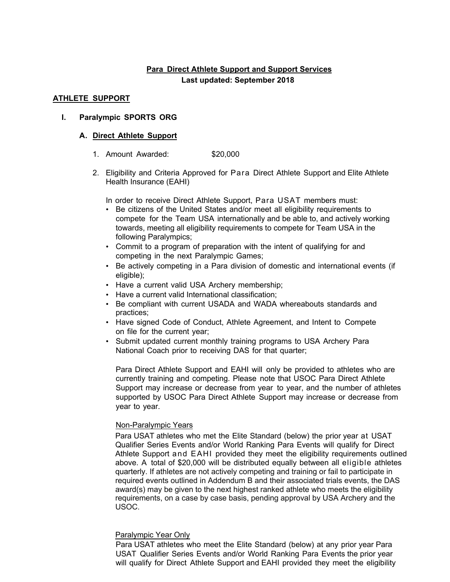# **Para Direct Athlete Support and Support Services**

#### **Last updated: September 2018**

## **ATHLETE SUPPORT**

### **I. Paralympic SPORTS ORG**

### **A. Direct Athlete Support**

- 1. Amount Awarded: \$20,000
- 2. Eligibility and Criteria Approved for Para Direct Athlete Support and Elite Athlete Health Insurance (EAHI)

In order to receive Direct Athlete Support, Para USAT members must:

- Be citizens of the United States and/or meet all eligibility requirements to compete for the Team USA internationally and be able to, and actively working towards, meeting all eligibility requirements to compete for Team USA in the following Paralympics;
- Commit to a program of preparation with the intent of qualifying for and competing in the next Paralympic Games;
- Be actively competing in a Para division of domestic and international events (if eligible);
- Have a current valid USA Archery membership;
- Have a current valid International classification;
- Be compliant with current USADA and WADA whereabouts standards and practices;
- Have signed Code of Conduct, Athlete Agreement, and Intent to Compete on file for the current year;
- Submit updated current monthly training programs to USA Archery Para National Coach prior to receiving DAS for that quarter;

Para Direct Athlete Support and EAHI will only be provided to athletes who are currently training and competing. Please note that USOC Para Direct Athlete Support may increase or decrease from year to year, and the number of athletes supported by USOC Para Direct Athlete Support may increase or decrease from year to year.

#### Non-Paralympic Years

Para USAT athletes who met the Elite Standard (below) the prior year at USAT Qualifier Series Events and/or World Ranking Para Events will qualify for Direct Athlete Support and EAHI provided they meet the eligibility requirements outlined above. A total of \$20,000 will be distributed equally between all eligible athletes quarterly. If athletes are not actively competing and training or fail to participate in required events outlined in Addendum B and their associated trials events, the DAS award(s) may be given to the next highest ranked athlete who meets the eligibility requirements, on a case by case basis, pending approval by USA Archery and the USOC.

# Paralympic Year Only

Para USAT athletes who meet the Elite Standard (below) at any prior year Para USAT Qualifier Series Events and/or World Ranking Para Events the prior year will qualify for Direct Athlete Support and EAHI provided they meet the eligibility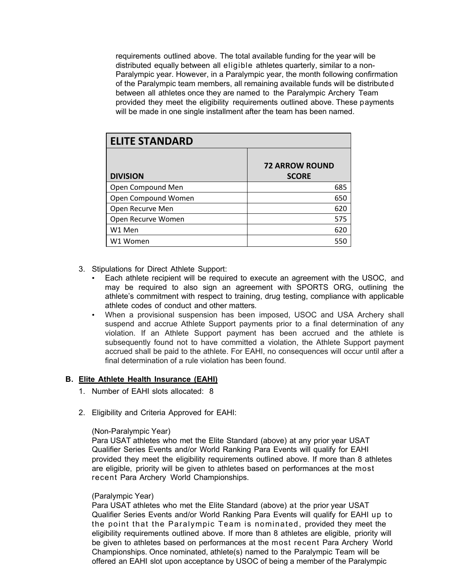requirements outlined above. The total available funding for the year will be distributed equally between all eligible athletes quarterly, similar to a non-Paralympic year. However, in a Paralympic year, the month following confirmation of the Paralympic team members, all remaining available funds will be distributed between all athletes once they are named to the Paralympic Archery Team provided they meet the eligibility requirements outlined above. These payments will be made in one single installment after the team has been named.

| <b>ELITE STANDARD</b> |                                       |  |
|-----------------------|---------------------------------------|--|
| <b>DIVISION</b>       | <b>72 ARROW ROUND</b><br><b>SCORE</b> |  |
| Open Compound Men     | 685                                   |  |
| Open Compound Women   | 650                                   |  |
| Open Recurve Men      | 620                                   |  |
| Open Recurve Women    | 575                                   |  |
| W1 Men                | 620                                   |  |
| W1 Women              | 550                                   |  |

- 3. Stipulations for Direct Athlete Support:
	- Each athlete recipient will be required to execute an agreement with the USOC, and may be required to also sign an agreement with SPORTS ORG, outlining the athlete's commitment with respect to training, drug testing, compliance with applicable athlete codes of conduct and other matters*.*
	- When a provisional suspension has been imposed, USOC and USA Archery shall suspend and accrue Athlete Support payments prior to a final determination of any violation. If an Athlete Support payment has been accrued and the athlete is subsequently found not to have committed a violation, the Athlete Support payment accrued shall be paid to the athlete. For EAHI, no consequences will occur until after a final determination of a rule violation has been found.

#### **B. Elite Athlete Health Insurance (EAHI)**

- 1. Number of EAHI slots allocated: 8
- 2. Eligibility and Criteria Approved for EAHI:

#### (Non-Paralympic Year)

Para USAT athletes who met the Elite Standard (above) at any prior year USAT Qualifier Series Events and/or World Ranking Para Events will qualify for EAHI provided they meet the eligibility requirements outlined above. If more than 8 athletes are eligible, priority will be given to athletes based on performances at the most recent Para Archery World Championships.

#### (Paralympic Year)

Para USAT athletes who met the Elite Standard (above) at the prior year USAT Qualifier Series Events and/or World Ranking Para Events will qualify for EAHI up to the point that the Paralympic Team is nominated, provided they meet the eligibility requirements outlined above. If more than 8 athletes are eligible, priority will be given to athletes based on performances at the most recent Para Archery World Championships. Once nominated, athlete(s) named to the Paralympic Team will be offered an EAHI slot upon acceptance by USOC of being a member of the Paralympic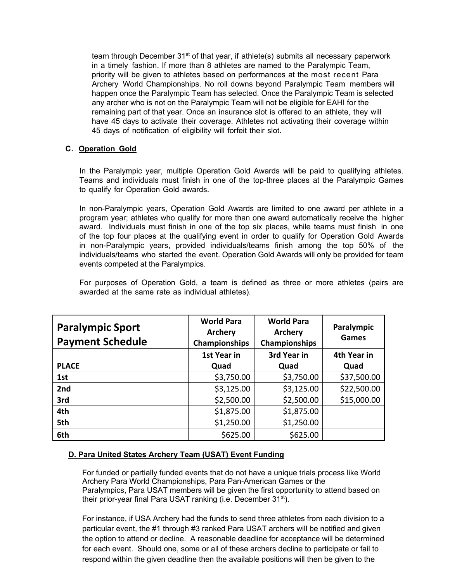team through December 31<sup>st</sup> of that year, if athlete(s) submits all necessary paperwork in a timely fashion. If more than 8 athletes are named to the Paralympic Team, priority will be given to athletes based on performances at the most recent Para Archery World Championships. No roll downs beyond Paralympic Team members will happen once the Paralympic Team has selected. Once the Paralympic Team is selected any archer who is not on the Paralympic Team will not be eligible for EAHI for the remaining part of that year. Once an insurance slot is offered to an athlete, they will have 45 days to activate their coverage. Athletes not activating their coverage within 45 days of notification of eligibility will forfeit their slot.

# **C. Operation Gold**

In the Paralympic year, multiple Operation Gold Awards will be paid to qualifying athletes. Teams and individuals must finish in one of the top-three places at the Paralympic Games to qualify for Operation Gold awards.

In non-Paralympic years, Operation Gold Awards are limited to one award per athlete in a program year; athletes who qualify for more than one award automatically receive the higher award. Individuals must finish in one of the top six places, while teams must finish in one of the top four places at the qualifying event in order to qualify for Operation Gold Awards in non-Paralympic years, provided individuals/teams finish among the top 50% of the individuals/teams who started the event. Operation Gold Awards will only be provided for team events competed at the Paralympics.

For purposes of Operation Gold, a team is defined as three or more athletes (pairs are awarded at the same rate as individual athletes).

| <b>Paralympic Sport</b><br><b>Payment Schedule</b> | <b>World Para</b><br><b>Archery</b><br>Championships | <b>World Para</b><br>Archery<br>Championships | Paralympic<br>Games |
|----------------------------------------------------|------------------------------------------------------|-----------------------------------------------|---------------------|
|                                                    | 1st Year in                                          | 3rd Year in                                   | 4th Year in         |
| <b>PLACE</b>                                       | Quad                                                 | Quad                                          | Quad                |
| 1st                                                | \$3,750.00                                           | \$3,750.00                                    | \$37,500.00         |
| 2nd                                                | \$3,125.00                                           | \$3,125.00                                    | \$22,500.00         |
| 3rd                                                | \$2,500.00                                           | \$2,500.00                                    | \$15,000.00         |
| 4th                                                | \$1,875.00                                           | \$1,875.00                                    |                     |
| 5th                                                | \$1,250.00                                           | \$1,250.00                                    |                     |
| 6th                                                | \$625.00                                             | \$625.00                                      |                     |

# **D. Para United States Archery Team (USAT) Event Funding**

For funded or partially funded events that do not have a unique trials process like World Archery Para World Championships, Para Pan-American Games or the Paralympics, Para USAT members will be given the first opportunity to attend based on their prior-year final Para USAT ranking (i.e. December 31<sup>st</sup>).

For instance, if USA Archery had the funds to send three athletes from each division to a particular event, the #1 through #3 ranked Para USAT archers will be notified and given the option to attend or decline. A reasonable deadline for acceptance will be determined for each event. Should one, some or all of these archers decline to participate or fail to respond within the given deadline then the available positions will then be given to the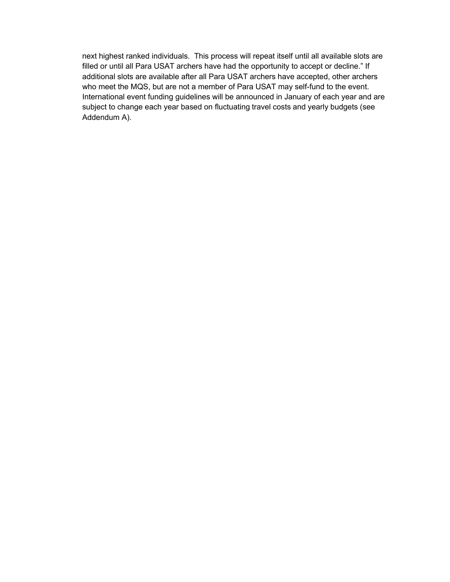next highest ranked individuals. This process will repeat itself until all available slots are filled or until all Para USAT archers have had the opportunity to accept or decline." If additional slots are available after all Para USAT archers have accepted, other archers who meet the MQS, but are not a member of Para USAT may self-fund to the event. International event funding guidelines will be announced in January of each year and are subject to change each year based on fluctuating travel costs and yearly budgets (see Addendum A).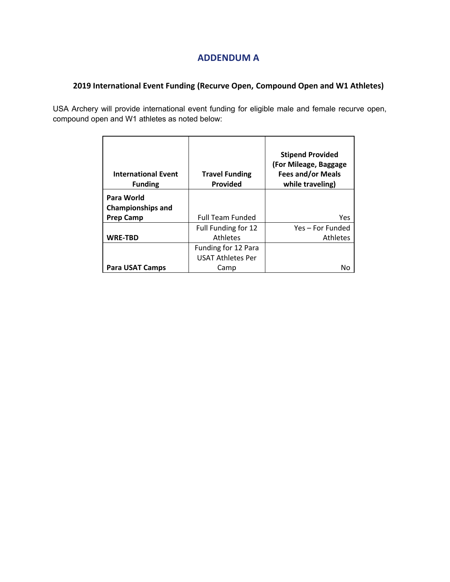# **ADDENDUM A**

# **2019 International Event Funding (Recurve Open, Compound Open and W1 Athletes)**

USA Archery will provide international event funding for eligible male and female recurve open, compound open and W1 athletes as noted below:

| <b>International Event</b><br><b>Funding</b> | <b>Travel Funding</b><br>Provided | <b>Stipend Provided</b><br>(For Mileage, Baggage<br><b>Fees and/or Meals</b><br>while traveling) |
|----------------------------------------------|-----------------------------------|--------------------------------------------------------------------------------------------------|
| Para World                                   |                                   |                                                                                                  |
| <b>Championships and</b>                     |                                   |                                                                                                  |
| <b>Prep Camp</b>                             | <b>Full Team Funded</b>           | Yes                                                                                              |
|                                              | Full Funding for 12               | Yes – For Funded                                                                                 |
| <b>WRE-TBD</b>                               | <b>Athletes</b>                   | Athletes                                                                                         |
|                                              | Funding for 12 Para               |                                                                                                  |
|                                              | <b>USAT Athletes Per</b>          |                                                                                                  |
| Para USAT Camps                              | Camp                              | Nο                                                                                               |